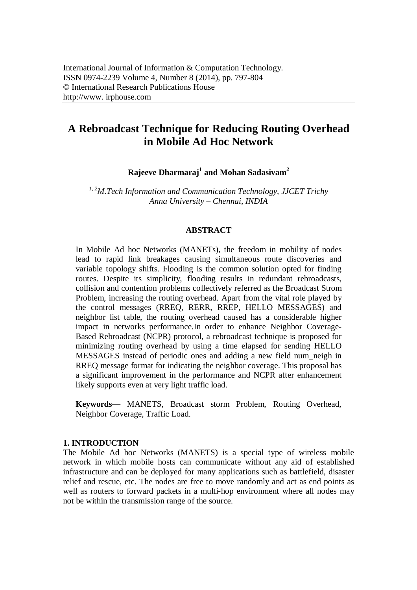# **A Rebroadcast Technique for Reducing Routing Overhead in Mobile Ad Hoc Network**

**Rajeeve Dharmaraj<sup>1</sup> and Mohan Sadasivam<sup>2</sup>**

*1, 2M.Tech Information and Communication Technology, JJCET Trichy Anna University – Chennai, INDIA*

## **ABSTRACT**

In Mobile Ad hoc Networks (MANETs), the freedom in mobility of nodes lead to rapid link breakages causing simultaneous route discoveries and variable topology shifts. Flooding is the common solution opted for finding routes. Despite its simplicity, flooding results in redundant rebroadcasts, collision and contention problems collectively referred as the Broadcast Strom Problem, increasing the routing overhead. Apart from the vital role played by the control messages (RREQ, RERR, RREP, HELLO MESSAGES) and neighbor list table, the routing overhead caused has a considerable higher impact in networks performance.In order to enhance Neighbor Coverage-Based Rebroadcast (NCPR) protocol, a rebroadcast technique is proposed for minimizing routing overhead by using a time elapsed for sending HELLO MESSAGES instead of periodic ones and adding a new field num\_neigh in RREQ message format for indicating the neighbor coverage. This proposal has a significant improvement in the performance and NCPR after enhancement likely supports even at very light traffic load.

**Keywords—** MANETS, Broadcast storm Problem, Routing Overhead, Neighbor Coverage, Traffic Load.

### **1. INTRODUCTION**

The Mobile Ad hoc Networks (MANETS) is a special type of wireless mobile network in which mobile hosts can communicate without any aid of established infrastructure and can be deployed for many applications such as battlefield, disaster relief and rescue, etc. The nodes are free to move randomly and act as end points as well as routers to forward packets in a multi-hop environment where all nodes may not be within the transmission range of the source.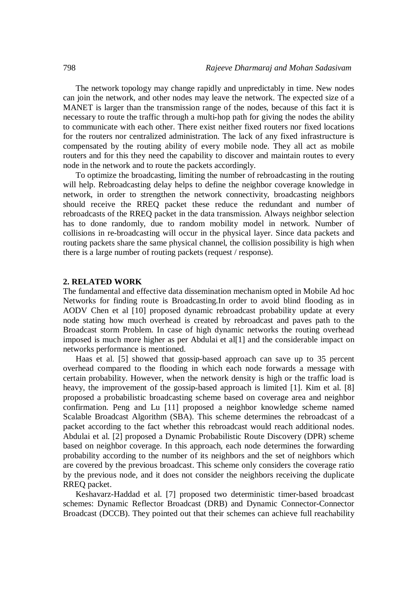The network topology may change rapidly and unpredictably in time. New nodes can join the network, and other nodes may leave the network. The expected size of a MANET is larger than the transmission range of the nodes, because of this fact it is necessary to route the traffic through a multi-hop path for giving the nodes the ability to communicate with each other. There exist neither fixed routers nor fixed locations for the routers nor centralized administration. The lack of any fixed infrastructure is compensated by the routing ability of every mobile node. They all act as mobile routers and for this they need the capability to discover and maintain routes to every node in the network and to route the packets accordingly.

To optimize the broadcasting, limiting the number of rebroadcasting in the routing will help. Rebroadcasting delay helps to define the neighbor coverage knowledge in network, in order to strengthen the network connectivity, broadcasting neighbors should receive the RREQ packet these reduce the redundant and number of rebroadcasts of the RREQ packet in the data transmission. Always neighbor selection has to done randomly, due to random mobility model in network. Number of collisions in re-broadcasting will occur in the physical layer. Since data packets and routing packets share the same physical channel, the collision possibility is high when there is a large number of routing packets (request / response).

#### **2. RELATED WORK**

The fundamental and effective data dissemination mechanism opted in Mobile Ad hoc Networks for finding route is Broadcasting.In order to avoid blind flooding as in AODV Chen et al [10] proposed dynamic rebroadcast probability update at every node stating how much overhead is created by rebroadcast and paves path to the Broadcast storm Problem. In case of high dynamic networks the routing overhead imposed is much more higher as per Abdulai et al[1] and the considerable impact on networks performance is mentioned.

Haas et al. [5] showed that gossip-based approach can save up to 35 percent overhead compared to the flooding in which each node forwards a message with certain probability. However, when the network density is high or the traffic load is heavy, the improvement of the gossip-based approach is limited [1]. Kim et al. [8] proposed a probabilistic broadcasting scheme based on coverage area and neighbor confirmation. Peng and Lu [11] proposed a neighbor knowledge scheme named Scalable Broadcast Algorithm (SBA). This scheme determines the rebroadcast of a packet according to the fact whether this rebroadcast would reach additional nodes. Abdulai et al. [2] proposed a Dynamic Probabilistic Route Discovery (DPR) scheme based on neighbor coverage. In this approach, each node determines the forwarding probability according to the number of its neighbors and the set of neighbors which are covered by the previous broadcast. This scheme only considers the coverage ratio by the previous node, and it does not consider the neighbors receiving the duplicate RREQ packet.

Keshavarz-Haddad et al. [7] proposed two deterministic timer-based broadcast schemes: Dynamic Reflector Broadcast (DRB) and Dynamic Connector-Connector Broadcast (DCCB). They pointed out that their schemes can achieve full reachability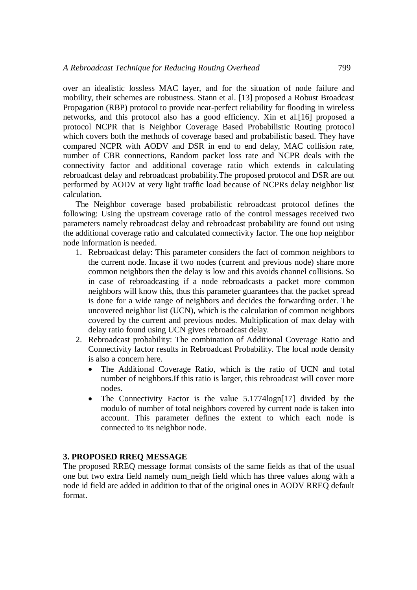over an idealistic lossless MAC layer, and for the situation of node failure and mobility, their schemes are robustness. Stann et al. [13] proposed a Robust Broadcast Propagation (RBP) protocol to provide near-perfect reliability for flooding in wireless networks, and this protocol also has a good efficiency. Xin et al.[16] proposed a protocol NCPR that is Neighbor Coverage Based Probabilistic Routing protocol which covers both the methods of coverage based and probabilistic based. They have compared NCPR with AODV and DSR in end to end delay, MAC collision rate, number of CBR connections, Random packet loss rate and NCPR deals with the connectivity factor and additional coverage ratio which extends in calculating rebroadcast delay and rebroadcast probability.The proposed protocol and DSR are out performed by AODV at very light traffic load because of NCPRs delay neighbor list calculation.

The Neighbor coverage based probabilistic rebroadcast protocol defines the following: Using the upstream coverage ratio of the control messages received two parameters namely rebroadcast delay and rebroadcast probability are found out using the additional coverage ratio and calculated connectivity factor. The one hop neighbor node information is needed.

- 1. Rebroadcast delay: This parameter considers the fact of common neighbors to the current node. Incase if two nodes (current and previous node) share more common neighbors then the delay is low and this avoids channel collisions. So in case of rebroadcasting if a node rebroadcasts a packet more common neighbors will know this, thus this parameter guarantees that the packet spread is done for a wide range of neighbors and decides the forwarding order. The uncovered neighbor list (UCN), which is the calculation of common neighbors covered by the current and previous nodes. Multiplication of max delay with delay ratio found using UCN gives rebroadcast delay.
- 2. Rebroadcast probability: The combination of Additional Coverage Ratio and Connectivity factor results in Rebroadcast Probability. The local node density is also a concern here.
	- The Additional Coverage Ratio, which is the ratio of UCN and total number of neighbors.If this ratio is larger, this rebroadcast will cover more nodes.
	- The Connectivity Factor is the value 5.1774logn[17] divided by the modulo of number of total neighbors covered by current node is taken into account. This parameter defines the extent to which each node is connected to its neighbor node.

# **3. PROPOSED RREQ MESSAGE**

The proposed RREQ message format consists of the same fields as that of the usual one but two extra field namely num\_neigh field which has three values along with a node id field are added in addition to that of the original ones in AODV RREQ default format.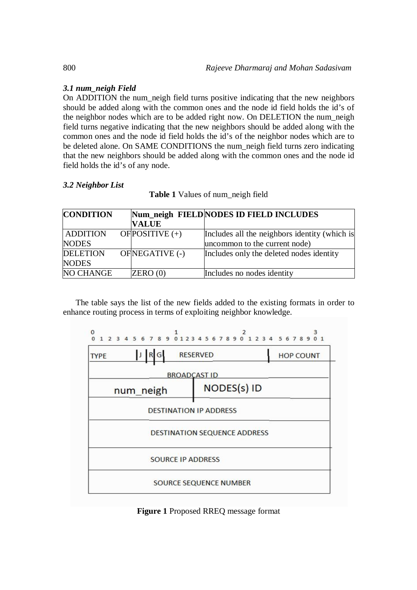# *3.1 num\_neigh Field*

On ADDITION the num\_neigh field turns positive indicating that the new neighbors should be added along with the common ones and the node id field holds the id's of the neighbor nodes which are to be added right now. On DELETION the num\_neigh field turns negative indicating that the new neighbors should be added along with the common ones and the node id field holds the id's of the neighbor nodes which are to be deleted alone. On SAME CONDITIONS the num\_neigh field turns zero indicating that the new neighbors should be added along with the common ones and the node id field holds the id's of any node.

# *3.2 Neighbor List*

**Table 1** Values of num\_neigh field

| <b>CONDITION</b> |                   | Num_neigh FIELD NODES ID FIELD INCLUDES       |
|------------------|-------------------|-----------------------------------------------|
|                  | <b>VALUE</b>      |                                               |
| <b>ADDITION</b>  | OF POSITIVE $(+)$ | Includes all the neighbors identity (which is |
| <b>NODES</b>     |                   | uncommon to the current node)                 |
| <b>DELETION</b>  | OFNEGATIVE (-)    | Includes only the deleted nodes identity      |
| <b>NODES</b>     |                   |                                               |
| <b>NO CHANGE</b> | ZERO(0)           | Includes no nodes identity                    |

The table says the list of the new fields added to the existing formats in order to enhance routing process in terms of exploiting neighbor knowledge.



**Figure 1** Proposed RREQ message format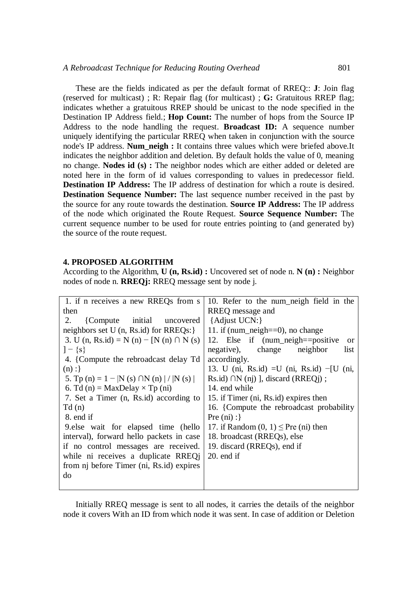These are the fields indicated as per the default format of RREQ:: **J**: Join flag (reserved for multicast) ; R: Repair flag (for multicast) ; **G:** Gratuitous RREP flag; indicates whether a gratuitous RREP should be unicast to the node specified in the Destination IP Address field.; **Hop Count:** The number of hops from the Source IP Address to the node handling the request. **Broadcast ID:** A sequence number uniquely identifying the particular RREQ when taken in conjunction with the source node's IP address. **Num\_neigh :** It contains three values which were briefed above.It indicates the neighbor addition and deletion. By default holds the value of 0, meaning no change. **Nodes id (s) :** The neighbor nodes which are either added or deleted are noted here in the form of id values corresponding to values in predecessor field. **Destination IP Address:** The IP address of destination for which a route is desired. **Destination Sequence Number:** The last sequence number received in the past by the source for any route towards the destination. **Source IP Address:** The IP address of the node which originated the Route Request. **Source Sequence Number:** The current sequence number to be used for route entries pointing to (and generated by) the source of the route request.

### **4. PROPOSED ALGORITHM**

According to the Algorithm, **U (n, Rs.id) :** Uncovered set of node n. **N (n) :** Neighbor nodes of node n. **RREQj:** RREQ message sent by node j.

| 1. if n receives a new RREQs from s            | 10. Refer to the num neigh field in the          |
|------------------------------------------------|--------------------------------------------------|
| then                                           | RREQ message and                                 |
| {Compute initial}<br>2.<br>uncovered           | {Adjust UCN:}                                    |
| neighbors set U $(n, Rs.id)$ for RREQs: $\}$   | 11. if (num_neigh= $=0$ ), no change             |
| 3. U (n, Rs.id) = N (n) – [N (n) $\cap$ N (s)  | 12. Else if (num_neigh==positive<br>or           |
| $]-\{s\}$                                      | negative), change neighbor<br>list               |
| 4. {Compute the rebroadcast delay Td           | accordingly.                                     |
| (n):                                           | 13. U (ni, Rs.id) = U (ni, Rs.id) $-[U (ni, n\,$ |
| 5. Tp (n) = 1 –  N (s) $\cap$ N (n)   /  N (s) | Rs.id) $\cap N$ (nj) ], discard (RREQj);         |
| 6. Td (n) = MaxDelay $\times$ Tp (ni)          | 14. end while                                    |
| 7. Set a Timer (n, Rs.id) according to         | 15. if Timer (ni, Rs.id) expires then            |
| Td(n)                                          | 16. {Compute the rebroadcast probability         |
| 8. end if                                      | Pre (ni) :                                       |
| 9. else wait for elapsed time (hello           | 17. if Random $(0, 1) \leq$ Pre (ni) then        |
| interval), forward hello packets in case       | 18. broadcast (RREQs), else                      |
| if no control messages are received.           | 19. discard (RREQs), end if                      |
| while ni receives a duplicate RREQ             | $20.$ end if                                     |
| from nj before Timer (ni, Rs.id) expires       |                                                  |
| do                                             |                                                  |
|                                                |                                                  |

Initially RREQ message is sent to all nodes, it carries the details of the neighbor node it covers With an ID from which node it was sent. In case of addition or Deletion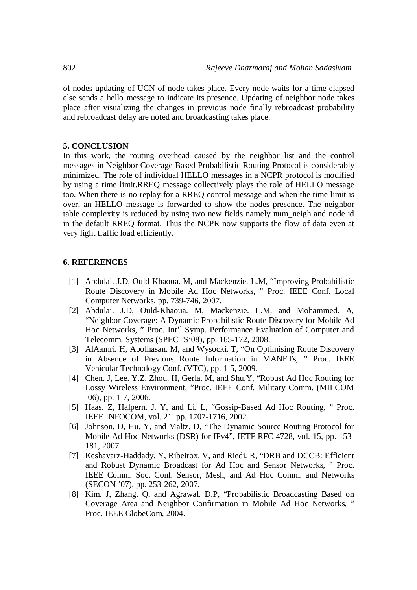of nodes updating of UCN of node takes place. Every node waits for a time elapsed else sends a hello message to indicate its presence. Updating of neighbor node takes place after visualizing the changes in previous node finally rebroadcast probability and rebroadcast delay are noted and broadcasting takes place.

### **5. CONCLUSION**

In this work, the routing overhead caused by the neighbor list and the control messages in Neighbor Coverage Based Probabilistic Routing Protocol is considerably minimized. The role of individual HELLO messages in a NCPR protocol is modified by using a time limit.RREQ message collectively plays the role of HELLO message too. When there is no replay for a RREQ control message and when the time limit is over, an HELLO message is forwarded to show the nodes presence. The neighbor table complexity is reduced by using two new fields namely num\_neigh and node id in the default RREQ format. Thus the NCPR now supports the flow of data even at very light traffic load efficiently.

# **6. REFERENCES**

- [1] Abdulai. J.D, Ould-Khaoua. M, and Mackenzie. L.M, "Improving Probabilistic Route Discovery in Mobile Ad Hoc Networks, " Proc. IEEE Conf. Local Computer Networks, pp. 739-746, 2007.
- [2] Abdulai. J.D, Ould-Khaoua. M, Mackenzie. L.M, and Mohammed. A, "Neighbor Coverage: A Dynamic Probabilistic Route Discovery for Mobile Ad Hoc Networks, " Proc. Int'l Symp. Performance Evaluation of Computer and Telecomm. Systems (SPECTS'08), pp. 165-172, 2008.
- [3] AlAamri. H, Abolhasan. M, and Wysocki. T, "On Optimising Route Discovery in Absence of Previous Route Information in MANETs, " Proc. IEEE Vehicular Technology Conf. (VTC), pp. 1-5, 2009.
- [4] Chen. J, Lee. Y.Z, Zhou. H, Gerla. M, and Shu.Y, "Robust Ad Hoc Routing for Lossy Wireless Environment, "Proc. IEEE Conf. Military Comm. (MILCOM '06), pp. 1-7, 2006.
- [5] Haas. Z, Halpern. J. Y, and Li. L, "Gossip-Based Ad Hoc Routing, " Proc. IEEE INFOCOM, vol. 21, pp. 1707-1716, 2002.
- [6] Johnson. D, Hu. Y, and Maltz. D, "The Dynamic Source Routing Protocol for Mobile Ad Hoc Networks (DSR) for IPv4", IETF RFC 4728, vol. 15, pp. 153- 181, 2007.
- [7] Keshavarz-Haddady. Y, Ribeirox. V, and Riedi. R, "DRB and DCCB: Efficient and Robust Dynamic Broadcast for Ad Hoc and Sensor Networks, " Proc. IEEE Comm. Soc. Conf. Sensor, Mesh, and Ad Hoc Comm. and Networks (SECON '07), pp. 253-262, 2007.
- [8] Kim. J, Zhang. Q, and Agrawal. D.P, "Probabilistic Broadcasting Based on Coverage Area and Neighbor Confirmation in Mobile Ad Hoc Networks, " Proc. IEEE GlobeCom, 2004.